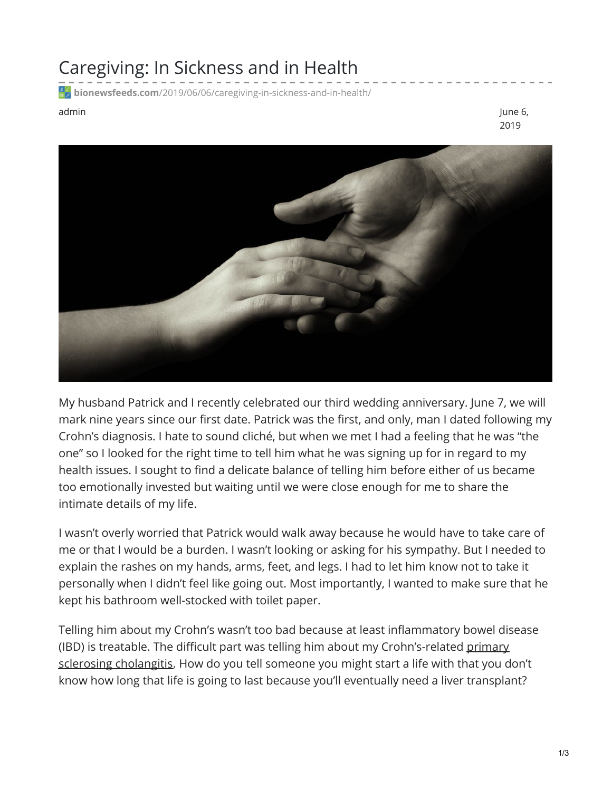## Caregiving: In Sickness and in Health

**bionewsfeeds.com**[/2019/06/06/caregiving-in-sickness-and-in-health/](https://bionewsfeeds.com/2019/06/06/caregiving-in-sickness-and-in-health/)

admin June 6, 2019



My husband Patrick and I recently celebrated our third wedding anniversary. June 7, we will mark nine years since our first date. Patrick was the first, and only, man I dated following my Crohn's diagnosis. I hate to sound cliché, but when we met I had a feeling that he was "the one" so I looked for the right time to tell him what he was signing up for in regard to my health issues. I sought to find a delicate balance of telling him before either of us became too emotionally invested but waiting until we were close enough for me to share the intimate details of my life.

I wasn't overly worried that Patrick would walk away because he would have to take care of me or that I would be a burden. I wasn't looking or asking for his sympathy. But I needed to explain the rashes on my hands, arms, feet, and legs. I had to let him know not to take it personally when I didn't feel like going out. Most importantly, I wanted to make sure that he kept his bathroom well-stocked with toilet paper.

Telling him about my Crohn's wasn't too bad because at least inflammatory bowel disease (IBD) is treatable. The difficult part was telling him about my [Crohn's-related](https://www.mayoclinic.org/diseases-conditions/primary-sclerosing-cholangitis/symptoms-causes/syc-20355797) primary sclerosing cholangitis. How do you tell someone you might start a life with that you don't know how long that life is going to last because you'll eventually need a liver transplant?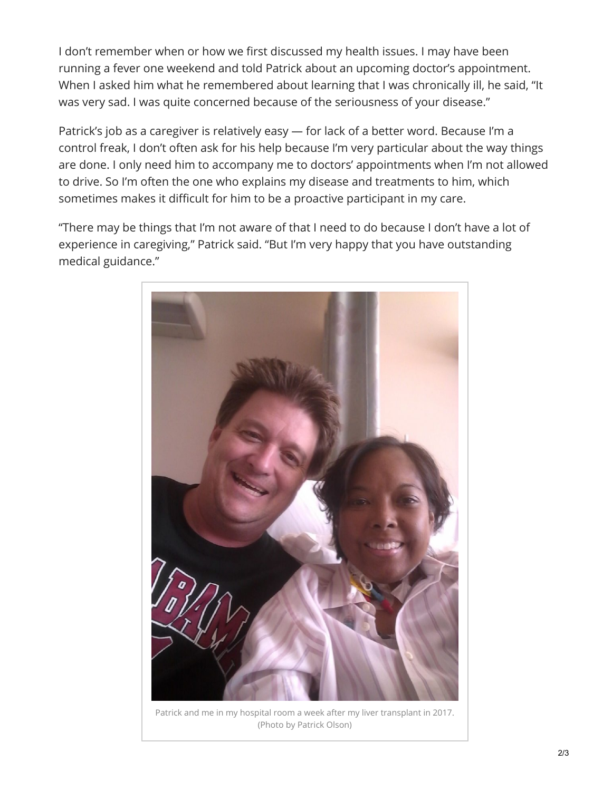I don't remember when or how we first discussed my health issues. I may have been running a fever one weekend and told Patrick about an upcoming doctor's appointment. When I asked him what he remembered about learning that I was chronically ill, he said, "It was very sad. I was quite concerned because of the seriousness of your disease."

Patrick's job as a caregiver is relatively easy — for lack of a better word. Because I'm a control freak, I don't often ask for his help because I'm very particular about the way things are done. I only need him to accompany me to doctors' appointments when I'm not allowed to drive. So I'm often the one who explains my disease and treatments to him, which sometimes makes it difficult for him to be a proactive participant in my care.

"There may be things that I'm not aware of that I need to do because I don't have a lot of experience in caregiving," Patrick said. "But I'm very happy that you have outstanding medical guidance."



Patrick and me in my hospital room a week after my liver transplant in 2017. (Photo by Patrick Olson)